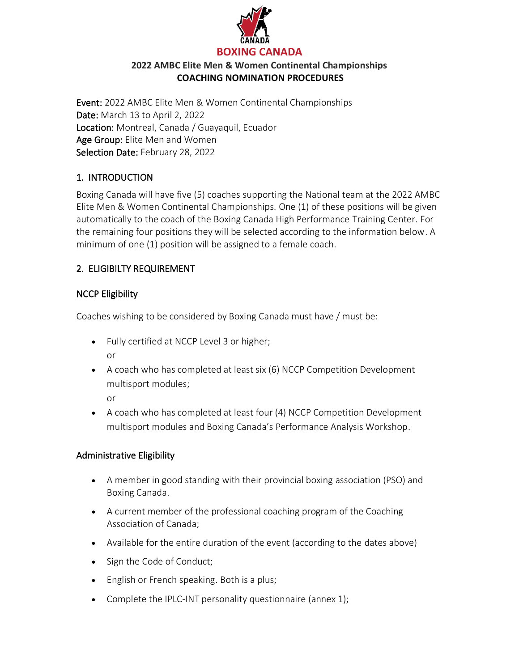

Event: 2022 AMBC Elite Men & Women Continental Championships Date: March 13 to April 2, 2022 Location: Montreal, Canada / Guayaquil, Ecuador Age Group: Elite Men and Women Selection Date: February 28, 2022

## 1. INTRODUCTION

Boxing Canada will have five (5) coaches supporting the National team at the 2022 AMBC Elite Men & Women Continental Championships. One (1) of these positions will be given automatically to the coach of the Boxing Canada High Performance Training Center. For the remaining four positions they will be selected according to the information below. A minimum of one (1) position will be assigned to a female coach.

# 2. ELIGIBILTY REQUIREMENT

## NCCP Eligibility

Coaches wishing to be considered by Boxing Canada must have / must be:

- Fully certified at NCCP Level 3 or higher; or
- A coach who has completed at least six (6) NCCP Competition Development multisport modules;

or

• A coach who has completed at least four (4) NCCP Competition Development multisport modules and Boxing Canada's Performance Analysis Workshop.

### Administrative Eligibility

- A member in good standing with their provincial boxing association (PSO) and Boxing Canada.
- A current member of the professional coaching program of the Coaching Association of Canada;
- Available for the entire duration of the event (according to the dates above)
- Sign the Code of Conduct;
- English or French speaking. Both is a plus;
- Complete the IPLC-INT personality questionnaire (annex 1);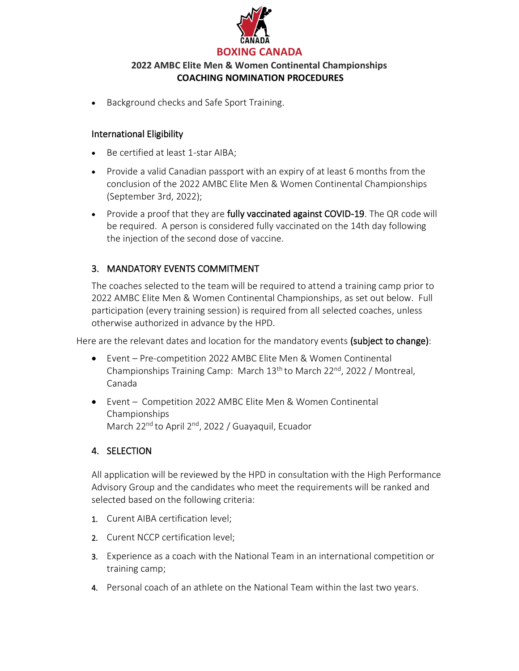

• Background checks and Safe Sport Training.

#### International Eligibility

- Be certified at least 1-star AIBA;
- Provide a valid Canadian passport with an expiry of at least 6 months from the conclusion of the 2022 AMBC Elite Men & Women Continental Championships (September 3rd, 2022);
- Provide a proof that they are fully vaccinated against COVID-19. The QR code will be required. A person is considered fully vaccinated on the 14th day following the injection of the second dose of vaccine.

## 3. MANDATORY EVENTS COMMITMENT

The coaches selected to the team will be required to attend a training camp prior to 2022 AMBC Elite Men & Women Continental Championships, as set out below. Full participation (every training session) is required from all selected coaches, unless otherwise authorized in advance by the HPD.

Here are the relevant dates and location for the mandatory events (subject to change):

- Event Pre-competition 2022 AMBC Elite Men & Women Continental Championships Training Camp: March 13<sup>th</sup> to March 22<sup>nd</sup>, 2022 / Montreal, Canada
- Event Competition 2022 AMBC Elite Men & Women Continental Championships March 22<sup>nd</sup> to April 2<sup>nd</sup>, 2022 / Guayaquil, Ecuador

### 4. SELECTION

All application will be reviewed by the HPD in consultation with the High Performance Advisory Group and the candidates who meet the requirements will be ranked and selected based on the following criteria:

- 1. Curent AIBA certification level;
- 2. Curent NCCP certification level;
- 3. Experience as a coach with the National Team in an international competition or training camp;
- 4. Personal coach of an athlete on the National Team within the last two years.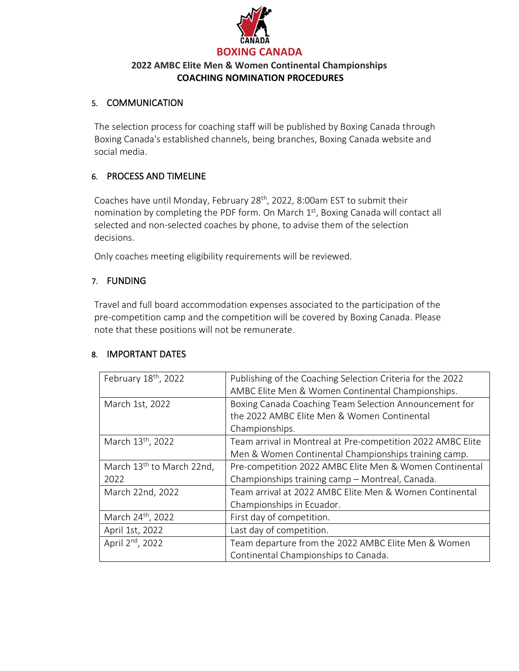

#### 5. COMMUNICATION

The selection process for coaching staff will be published by Boxing Canada through Boxing Canada's established channels, being branches, Boxing Canada website and social media.

### 6. PROCESS AND TIMELINE

Coaches have until Monday, February 28<sup>th</sup>, 2022, 8:00am EST to submit their nomination by completing the PDF form. On March 1<sup>st</sup>, Boxing Canada will contact all selected and non-selected coaches by phone, to advise them of the selection decisions.

Only coaches meeting eligibility requirements will be reviewed.

### 7. FUNDING

Travel and full board accommodation expenses associated to the participation of the pre-competition camp and the competition will be covered by Boxing Canada. Please note that these positions will not be remunerate.

### 8. IMPORTANT DATES

| February 18th, 2022                           | Publishing of the Coaching Selection Criteria for the 2022<br>AMBC Elite Men & Women Continental Championships.         |
|-----------------------------------------------|-------------------------------------------------------------------------------------------------------------------------|
| March 1st, 2022                               | Boxing Canada Coaching Team Selection Announcement for<br>the 2022 AMBC Elite Men & Women Continental<br>Championships. |
| March 13 <sup>th</sup> , 2022                 | Team arrival in Montreal at Pre-competition 2022 AMBC Elite<br>Men & Women Continental Championships training camp.     |
| March 13 <sup>th</sup> to March 22nd,<br>2022 | Pre-competition 2022 AMBC Elite Men & Women Continental<br>Championships training camp - Montreal, Canada.              |
| March 22nd, 2022                              | Team arrival at 2022 AMBC Elite Men & Women Continental<br>Championships in Ecuador.                                    |
| March 24 <sup>th</sup> , 2022                 | First day of competition.                                                                                               |
| April 1st, 2022                               | Last day of competition.                                                                                                |
| April 2 <sup>nd</sup> , 2022                  | Team departure from the 2022 AMBC Elite Men & Women<br>Continental Championships to Canada.                             |